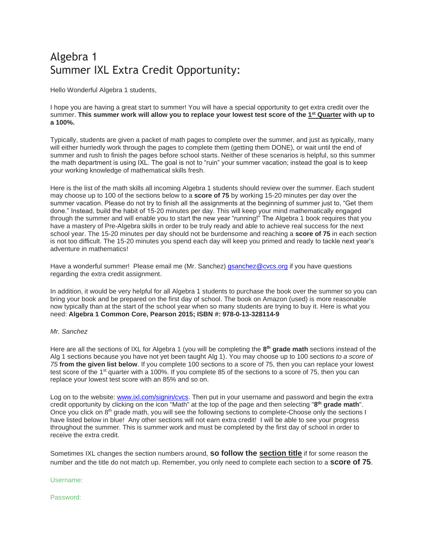# Algebra 1 Summer IXL Extra Credit Opportunity:

Hello Wonderful Algebra 1 students,

I hope you are having a great start to summer! You will have a special opportunity to get extra credit over the summer. **This summer work will allow you to replace your lowest test score of the 1 st Quarter with up to a 100%.**

Typically, students are given a packet of math pages to complete over the summer, and just as typically, many will either hurriedly work through the pages to complete them (getting them DONE), or wait until the end of summer and rush to finish the pages before school starts. Neither of these scenarios is helpful, so this summer the math department is using IXL. The goal is not to "ruin" your summer vacation; instead the goal is to keep your working knowledge of mathematical skills fresh.

Here is the list of the math skills all incoming Algebra 1 students should review over the summer. Each student may choose up to 100 of the sections below to a **score of 75** by working 15-20 minutes per day over the summer vacation. Please do not try to finish all the assignments at the beginning of summer just to, "Get them done." Instead, build the habit of 15-20 minutes per day. This will keep your mind mathematically engaged through the summer and will enable you to start the new year "running!" The Algebra 1 book requires that you have a mastery of Pre-Algebra skills in order to be truly ready and able to achieve real success for the next school year. The 15-20 minutes per day should not be burdensome and reaching a **score of 75** in each section is not too difficult. The 15-20 minutes you spend each day will keep you primed and ready to tackle next year's adventure in mathematics!

Have a wonderful summer! Please email me (Mr. Sanchez) [gsanchez@cvcs.org](mailto:gsanchez@cvcs.org) if you have questions regarding the extra credit assignment.

In addition, it would be very helpful for all Algebra 1 students to purchase the book over the summer so you can bring your book and be prepared on the first day of school. The book on Amazon (used) is more reasonable now typically than at the start of the school year when so many students are trying to buy it. Here is what you need: **Algebra 1 Common Core, Pearson 2015; ISBN #: 978-0-13-328114-9**

#### *Mr. Sanchez*

Here are all the sections of IXL for Algebra 1 (you will be completing the **8 th grade math** sections instead of the Alg 1 sections because you have not yet been taught Alg 1). You may choose up to 100 sections *to a score of 75* **from the given list below**. If you complete 100 sections to a score of 75, then you can replace your lowest test score of the 1<sup>st</sup> quarter with a 100%. If you complete 85 of the sections to a score of 75, then you can replace your lowest test score with an 85% and so on.

Log on to the website: [www.ixl.com/signin/cvcs.](http://www.ixl.com/signin/cvcs) Then put in your username and password and begin the extra credit opportunity by clicking on the icon "Math" at the top of the page and then selecting "**8 th grade math**". Once you click on 8<sup>th</sup> grade math, you will see the following sections to complete-Choose only the sections I have listed below in blue! Any other sections will not earn extra credit! I will be able to see your progress throughout the summer. This is summer work and must be completed by the first day of school in order to receive the extra credit.

Sometimes IXL changes the section numbers around, **so follow the section title** if for some reason the number and the title do not match up. Remember, you only need to complete each section to a **score of 75**.

#### Username:

#### Password: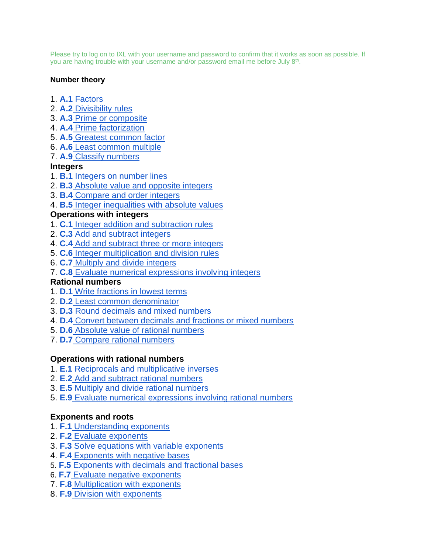Please try to log on to IXL with your username and password to confirm that it works as soon as possible. If you are having trouble with your username and/or password email me before July 8<sup>th</sup>.

#### **Number theory**

- 1. **A.1** [Factors](https://www.ixl.com/math/grade-8/factors)
- 2. **A.2** [Divisibility rules](https://www.ixl.com/math/grade-8/divisibility-rules)
- 3. **A.3** [Prime or composite](https://www.ixl.com/math/grade-8/prime-or-composite)
- 4. **A.4** [Prime factorization](https://www.ixl.com/math/grade-8/prime-factorization)
- 5. **A.5** [Greatest common factor](https://www.ixl.com/math/grade-8/greatest-common-factor)
- 6. **A.6** [Least common multiple](https://www.ixl.com/math/grade-8/least-common-multiple)
- 7. **A.9** [Classify numbers](https://www.ixl.com/math/grade-8/classify-numbers)

### **Integers**

- 1. **B.1** [Integers on number lines](https://www.ixl.com/math/grade-8/integers-on-number-lines)
- 2. **B.3** [Absolute value and opposite integers](https://www.ixl.com/math/grade-8/absolute-value-and-opposite-integers)
- 3. **B.4** [Compare and order integers](https://www.ixl.com/math/grade-8/compare-and-order-integers)
- 4. **B.5** [Integer inequalities with absolute values](https://www.ixl.com/math/grade-8/integer-inequalities-with-absolute-values)

### **Operations with integers**

- 1. **C.1** [Integer addition and subtraction rules](https://www.ixl.com/math/grade-8/integer-addition-and-subtraction-rules)
- 2. **C.3** [Add and subtract integers](https://www.ixl.com/math/grade-8/add-and-subtract-integers)
- 4. **C.4** [Add and subtract three or more integers](https://www.ixl.com/math/grade-8/add-and-subtract-three-or-more-integers)
- 5. **C.6** [Integer multiplication and division rules](https://www.ixl.com/math/grade-8/integer-multiplication-and-division-rules)
- 6. **C.7** [Multiply and divide integers](https://www.ixl.com/math/grade-8/multiply-and-divide-integers)
- 7. **C.8** [Evaluate numerical expressions involving integers](https://www.ixl.com/math/grade-8/evaluate-numerical-expressions-involving-integers)

### **Rational numbers**

- 1. **D.1** [Write fractions in lowest terms](https://www.ixl.com/math/grade-8/write-fractions-in-lowest-terms)
- 2. **D.2** [Least common denominator](https://www.ixl.com/math/grade-8/least-common-denominator)
- 3. **D.3** [Round decimals and mixed numbers](https://www.ixl.com/math/grade-8/round-decimals-and-mixed-numbers)
- 4. **D.4** [Convert between decimals and fractions or mixed numbers](https://www.ixl.com/math/grade-8/convert-between-decimals-and-fractions-or-mixed-numbers)
- 5. **D.6** [Absolute value of rational numbers](https://www.ixl.com/math/grade-8/absolute-value-of-rational-numbers)
- 7. **D.7** [Compare rational numbers](https://www.ixl.com/math/grade-8/compare-rational-numbers)

### **Operations with rational numbers**

- 1. **E.1** [Reciprocals and multiplicative inverses](https://www.ixl.com/math/grade-8/reciprocals-and-multiplicative-inverses)
- 2. **E.2** [Add and subtract rational numbers](https://www.ixl.com/math/grade-8/add-and-subtract-rational-numbers)
- 3. **E.5** [Multiply and divide rational numbers](https://www.ixl.com/math/grade-8/multiply-and-divide-rational-numbers)
- 5. **E.9** [Evaluate numerical expressions involving rational numbers](https://www.ixl.com/math/grade-8/evaluate-numerical-expressions-involving-rational-numbers)

### **Exponents and roots**

- 1. **F.1** [Understanding exponents](https://www.ixl.com/math/grade-8/understanding-exponents)
- 2. **F.2** [Evaluate exponents](https://www.ixl.com/math/grade-8/evaluate-exponents)
- 3. **F.3** [Solve equations with variable exponents](https://www.ixl.com/math/grade-8/solve-equations-with-variable-exponents)
- 4. **F.4** [Exponents with negative bases](https://www.ixl.com/math/grade-8/exponents-with-negative-bases)
- 5. **F.5** [Exponents with decimals](https://www.ixl.com/math/grade-8/exponents-with-negative-bases) and fractional bases
- 6. **F.7** [Evaluate](https://www.ixl.com/math/grade-8/exponents-with-negative-bases) negative exponents
- 7. **F.8** [Multiplication with exponents](https://www.ixl.com/math/grade-8/multiplication-with-exponents)
- 8. **F.9** [Division with exponents](https://www.ixl.com/math/grade-8/division-with-exponents)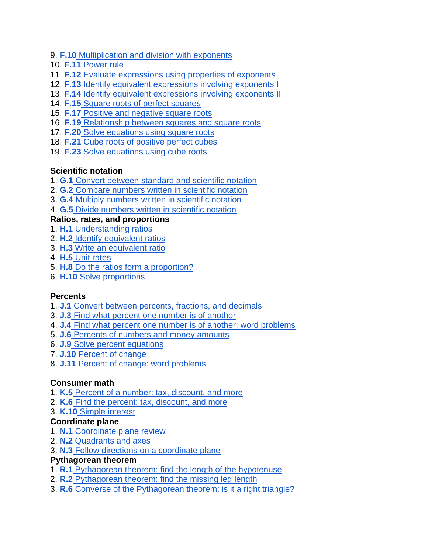- 9. **F.10** [Multiplication and division with exponents](https://www.ixl.com/math/grade-8/multiplication-and-division-with-exponents)
- 10. **F.11** [Power rule](https://www.ixl.com/math/grade-8/multiplication-and-division-with-exponents)
- 11. **F.12** [Evaluate expressions using properties of exponents](https://www.ixl.com/math/grade-8/multiplication-and-division-with-exponents)
- 12. **F.13** [Identify equivalent expressions involving exponents I](https://www.ixl.com/math/grade-8/multiplication-and-division-with-exponents)
- 13. **F.14** [Identify equivalent expressions involving exponents II](https://www.ixl.com/math/grade-8/multiplication-and-division-with-exponents)
- 14. **F.15** [Square roots of perfect squares](https://www.ixl.com/math/grade-8/square-roots-of-perfect-squares)
- 15. **F.17** [Positive and negative square roots](https://www.ixl.com/math/grade-8/positive-and-negative-square-roots)
- 16. **F.19** [Relationship between squares and square roots](https://www.ixl.com/math/grade-8/relationship-between-squares-and-square-roots)
- 17. **F.20** [Solve](https://www.ixl.com/math/grade-8/multiplication-and-division-with-exponents) equations using square roots
- 18. **F.21** [Cube](https://www.ixl.com/math/grade-8/multiplication-and-division-with-exponents) roots of positive perfect cubes
- 19. **F.23** [Solve](https://www.ixl.com/math/grade-8/multiplication-and-division-with-exponents) equations using cube roots

# **Scientific notation**

- 1. **G.1** [Convert between standard and scientific notation](https://www.ixl.com/math/grade-8/convert-between-standard-and-scientific-notation)
- 2. **G.2** [Compare numbers written in scientific notation](https://www.ixl.com/math/grade-8/compare-numbers-written-in-scientific-notation)
- 3. **G.4** [Multiply numbers written in scientific notation](https://www.ixl.com/math/grade-8/multiply-numbers-written-in-scientific-notation)
- 4. **G.5** [Divide numbers written in scientific notation](https://www.ixl.com/math/grade-8/divide-numbers-written-in-scientific-notation)

# **Ratios, rates, and proportions**

- 1. **H.1** [Understanding ratios](https://www.ixl.com/math/grade-8/understanding-ratios)
- 2. **H.2** [Identify equivalent ratios](https://www.ixl.com/math/grade-8/identify-equivalent-ratios)
- 3. **H.3** [Write an equivalent ratio](https://www.ixl.com/math/grade-8/write-an-equivalent-ratio)
- 4. **H.5** [Unit rates](https://www.ixl.com/math/grade-8/unit-rates)
- 5. **H.8** [Do the ratios form a proportion?](https://www.ixl.com/math/grade-8/do-the-ratios-form-a-proportion)
- 6. **H.10** [Solve proportions](https://www.ixl.com/math/grade-8/solve-proportions)

# **Percents**

- 1. **J.1** [Convert between percents, fractions, and decimals](https://www.ixl.com/math/grade-8/convert-between-percents-fractions-and-decimals)
- 3. **J.3** [Find what percent one number is of another](https://www.ixl.com/math/grade-8/find-what-percent-one-number-is-of-another)
- 4. **J.4** [Find what percent one number is of another: word problems](https://www.ixl.com/math/grade-8/find-what-percent-one-number-is-of-another-word-problems)
- 5. **J.6** [Percents of numbers and money amounts](https://www.ixl.com/math/grade-8/percents-of-numbers-and-money-amounts)
- 6. **J.9** [Solve percent equations](https://www.ixl.com/math/grade-8/solve-percent-equations)
- 7. **J.10** [Percent of change](https://www.ixl.com/math/grade-8/percent-of-change)
- 8. **J.11** [Percent of change: word problems](https://www.ixl.com/math/grade-8/percent-of-change-word-problems)

# **Consumer math**

- 1. **K.5** [Percent of a number: tax, discount, and more](https://www.ixl.com/math/grade-8/percent-of-a-number-tax-discount-and-more)
- 2. **K.6** [Find the percent: tax, discount, and more](https://www.ixl.com/math/grade-8/find-the-percent-tax-discount-and-more)
- 3. **K.10** [Simple interest](https://www.ixl.com/math/grade-8/simple-interest)

# **Coordinate plane**

- 1. **N.1** [Coordinate plane review](https://www.ixl.com/math/grade-8/coordinate-plane-review)
- 2. **N.2** [Quadrants and axes](https://www.ixl.com/math/grade-8/quadrants-and-axes)
- 3. **N.3** [Follow directions on a coordinate plane](https://www.ixl.com/math/grade-8/follow-directions-on-a-coordinate-plane)

### **Pythagorean theorem**

- 1. **R.1** [Pythagorean theorem: find the length of the hypotenuse](https://www.ixl.com/math/grade-8/pythagorean-theorem-find-the-length-of-the-hypotenuse)
- 2. **R.2** [Pythagorean theorem: find the missing leg length](https://www.ixl.com/math/grade-8/pythagorean-theorem-find-the-missing-leg-length)
- 3. **R.6** [Converse of the Pythagorean theorem: is it a right triangle?](https://www.ixl.com/math/grade-8/converse-of-the-pythagorean-theorem-is-it-a-right-triangle)